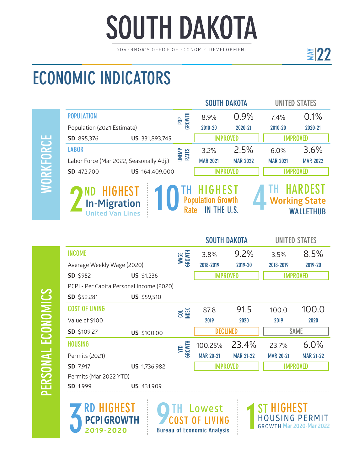# **SOUTH DAKOTA**

GOVERNOR'S OFFICE OF ECONOMIC DEVELOPMENT

## ECONOMIC INDICATORS

PERSONAL ECONOMICS

PERSONAL ECONOMICS

|                                                                                                                                                                                                           |                |                       |                 | <b>SOUTH DAKOTA</b> | UNITED STATES   |                 |
|-----------------------------------------------------------------------------------------------------------------------------------------------------------------------------------------------------------|----------------|-----------------------|-----------------|---------------------|-----------------|-----------------|
| <b>POPULATION</b>                                                                                                                                                                                         |                | POP<br>GROWTH         | 8.9%            | 0.9%                | 7.4%            | 0.1%            |
| Population (2021 Estimate)                                                                                                                                                                                |                |                       | 2010-20         | 2020-21             | 2010-20         | 2020-21         |
| SD 895,376                                                                                                                                                                                                | US 331,893,745 |                       |                 | <b>IMPROVED</b>     |                 | <b>IMPROVED</b> |
| <b>LABOR</b>                                                                                                                                                                                              |                | <b>UNEMP</b><br>RATES | 3.2%            | 2.5%                | 6.0%            | 3.6%            |
| Labor Force (Mar 2022, Seasonally Adj.)                                                                                                                                                                   |                |                       | <b>MAR 2021</b> | <b>MAR 2022</b>     | <b>MAR 2021</b> | <b>MAR 2022</b> |
| SD 472,700                                                                                                                                                                                                | US 164,409,000 |                       |                 |                     |                 |                 |
| <b>HARDEST</b><br><b>HIGHEST</b><br><b>HIGHEST</b><br>ND<br><b>Population Growth</b><br><b>Working State</b><br><b>In-Migration</b><br>IN THE U.S.<br><b>Rate</b><br>WALLETHUB<br><b>United Van Lines</b> |                |                       |                 |                     |                 |                 |

|                                          |                   |                | <b>SOUTH DAKOTA</b> |                  | <b>UNITED STATES</b> |                  |
|------------------------------------------|-------------------|----------------|---------------------|------------------|----------------------|------------------|
| <b>INCOME</b>                            |                   | WAGE<br>GROWTH | 3.8%                | 9.2%             | 3.5%                 | 8.5%             |
| Average Weekly Wage (2020)               |                   |                | 2018-2019           | 2019-20          | 2018-2019            | 2019-20          |
| SD \$952                                 | <b>US</b> \$1,236 |                | <b>IMPROVED</b>     |                  | <b>IMPROVED</b>      |                  |
| PCPI - Per Capita Personal Income (2020) |                   |                |                     |                  |                      |                  |
| SD \$59,281                              | US \$59,510       |                |                     |                  |                      |                  |
| <b>COST OF LIVING</b>                    |                   | <b>COL</b>     | 87.8                | 91.5             | 100.0                | 100.0            |
| Value of \$100                           |                   |                | 2019                | 2020             | 2019                 | 2020             |
| SD \$109.27                              | US \$100.00       |                | <b>DECLINED</b>     |                  | <b>SAME</b>          |                  |
| <b>HOUSING</b>                           |                   | YTD<br>GROWTH  | 100.25%             | 23.4%            | 23.7%                | 6.0%             |
| Permits (2021)                           |                   |                | <b>MAR 20-21</b>    | <b>MAR 21-22</b> | <b>MAR 20-21</b>     | <b>MAR 21-22</b> |
| SD 7,917                                 | US 1,736,982      |                | <b>IMPROVED</b>     |                  | <b>IMPROVED</b>      |                  |
| Permits (Mar 2022 YTD)                   |                   |                |                     |                  |                      |                  |
| SD 1,999                                 | <b>US</b> 431,909 |                |                     |                  |                      |                  |



**O**TH Lowest COST OF LIVING Bureau of Economic Analysis

HIGHEST **H O U S I N G P E R M I T** 1**GROWTH Mar 2020-Mar 2022** ST

<u>≩|22</u>